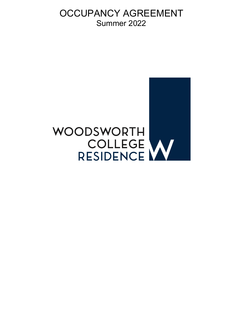OCCUPANCY AGREEMENT Summer 2022

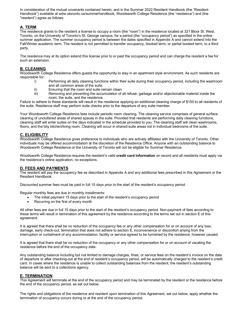In consideration of the mutual covenants contained herein, and in the Summer 2022 Resident Handbook (the "Resident Handbook") available at wdw.utoronto.ca/summerhandbook, Woodsworth College Residence (the "residence") and (the "resident") agree as follows:

# **A. TERM**

The residence grants to the resident a license to occupy a room (the "room") in the residence located at 321 Bloor St. West, Toronto, on the University of Toronto's St. George campus, for a period (the "occupancy period") as specified in the online summer application. The summer occupancy period is between the dates specified in Appendix A and cannot extend into the Fall/Winter academic term. The resident is not permitted to transfer occupancy, booked term, or partial booked term, to a third party.

The residence may at its option extend this license prior to or past the occupancy period and can charge the resident a fee for such an extension.

# **B. CLEANING**

Woodsworth College Residence offers guests the opportunity to stay in an apartment style environment. As such residents are responsible for:

- i) Performing all daily cleaning functions within their suite during their occupancy period, including the washroom and all common areas of the suite.
- ii) Ensuring that the room and suite remain clean.<br>iii) Removing and preventing the accumulation of a
- Removing and preventing the accumulation of all refuse, garbage and/or objectionable material inside the room, the suite, and the residence.

Failure to adhere to these standards will result in the residence applying an additional cleaning charge of \$150 to all residents of the suite. Residence staff may perform suite checks prior to the departure of any suite member.

Your Woodsworth College Residence fees include periodic room cleaning. The cleaning service comprises of general surface cleaning of uncluttered areas of shared spaces in the suite. Provided that residents are performing daily cleaning functions, cleaning staff will enter suites on the days indicated in the schedule provided to you. The cleaning staff will clean washrooms, floors, and the tidy kitchen/living room. Cleaning will occur in shared-suite areas not in individual bedrooms of the suite.

# **C. ELIGIBILITY**

Woodsworth College Residence gives preference to individuals who are actively affiliated with the University of Toronto. Other individuals may be offered accommodation at the discretion of the Residence Office. Anyone with an outstanding balance to Woodsworth College Residence or the University of Toronto will not be eligible for Summer Residence.

Woodsworth College Residence requires the resident's valid **credit card information** on record and all residents must apply via the residence's online application, no exceptions.

# **D. FEES AND PAYMENTS**

The resident will pay the occupancy fee as described in Appendix A and any additional fees prescribed in this Agreement or the Resident Handbook.

Discounted summer fees must be paid in full 15 days prior to the start of the resident's occupancy period.

Regular monthly fees are due in monthly installments:

- The initial payment 15 days prior to the start of the resident's occupancy period
- Recurring on the first of every month

All other fees are due in full 15 days prior to the start of the resident's occupancy period. Non-payment of fees according to these terms will result in termination of this agreement by the residence according to the terms set out in section E of this agreement.

It is agreed that there shall be no reduction of the occupancy fee or any other compensation for or on account of any loss, damage, early check-out, termination that does not adhere to section E, inconvenience or discomfort arising from the interruption or curtailment of any accommodation, facility or service agreed to be furnished by the residence, however caused.

It is agreed that there shall be no reduction of the occupancy or any other compensation for or on account of vacating the residence before the end of the occupancy date.

Any outstanding balance including but not limited to damage charges, fines, or service fees on the resident's invoice on the date of departure or after checking-out at the end of resident's occupancy period, will be automatically charged to the resident's credit card. In cases where the residence is unable to collect outstanding balances from the resident, the resident's outstanding balance will be sent to a collections agency.

# **E. TERMINATION**

This Agreement will terminate at the end of the occupancy period and may be terminated by the resident or the residence before the end of the occupancy period, as set out below.

The rights and obligations of the residence and resident upon termination of this Agreement, set out below, apply whether the termination of occupancy occurs during or at the end of the occupancy period.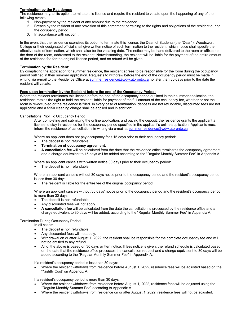## **Termination by the Residence:**

The residence may, at its option, terminate this license and require the resident to vacate upon the happening of any of the following events:

- 1. Non-payment by the resident of any amount due to the residence.
- 2. Breach by the resident of any provision of this agreement pertaining to the rights and obligations of the resident during the occupancy period.
- 3. In accordance with section I.

In the event that the residence exercises its option to terminate this license, the Dean of Students (the "Dean"), Woodsworth College or their designated official shall give written notice of such termination to the resident, which notice shall specify the effective date of termination, which shall also be the vacating date. The notice may be hand delivered to the room or affixed to the door of the room, addressed to the resident. Notwithstanding, the resident will be liable for the payment of the entire amount of the residence fee for the original license period, and no refund will be given.

## **Termination by the Resident:**

By completing the application for summer residence, the resident agrees to be responsible for the room during the occupancy period outlined in their summer application. Requests to withdraw before the end of the occupancy period must be made in writing via e-mail to the Residence Office at summer.residence@wdw.utoronto.ca no later than 30 days prior to the date the resident will vacate.

## **Fees upon termination by the Resident before the end of the Occupancy Period:**

Where the resident terminates this license before the end of the occupancy period outlined in their summer application, the residence retains the right to hold the resident liable for payment of the full amount of the occupancy fee, whether or not the room is re-occupied or the residence is filled. In every case of termination, deposits are not refundable, discounted fees are not applicable and a \$150 cleaning charge shall be applied and in addition:

#### Cancellations Prior To Occupancy Period

After completing and submitting the online application, and paying the deposit, the residence grants the applicant a license to stay in residence for the occupancy period specified in the applicant's online application. Applicants must inform the residence of cancellations in writing via e-mail at summer.residence@wdw.utoronto.ca.

Where an applicant does not pay occupancy fees 15 days prior to their occupancy period:

- The deposit is non refundable.
- **Termination of occupancy agreement.**
- **A cancellation fee** will be calculated from the date that the residence office terminates the occupancy agreement, and a charge equivalent to 15 days will be added according to the "Regular Monthly Summer Fee" in Appendix A.

Where an applicant cancels with written notice 30 days prior to their occupancy period:

The deposit is non refundable.

Where an applicant cancels without 30 days notice prior to the occupancy period and the resident's occupancy period is less than 30 days:

The resident is liable for the entire fee of the original occupancy period.

Where an applicant cancels without 30 days' notice prior to the occupancy period and the resident's occupancy period is more than 30 days:

- The deposit is non refundable.
- Any discounted fees will not apply.
- **A cancellation fee** will be calculated from the date the cancellation is processed by the residence office and a charge equivalent to 30 days will be added, according to the "Regular Monthly Summer Fee" in Appendix A.

#### Termination During Occupancy Period

In all cases:

- The deposit is non refundable
- Any discounted fees will not apply.
- Withdrawal on or after August 1, 2022: the resident shall be responsible for the complete occupancy fee and will not be entitled to any refund.
- All of the above is based on 30 days written notice. If less notice is given, the refund schedule is calculated based on the date that the residence office processes the cancellation request and a charge equivalent to 30 days will be added according to the "Regular Monthly Summer Fee" in Appendix A.

If a resident's occupancy period is less than 30 days:

• Where the resident withdraws from residence before August 1, 2022, residence fees will be adjusted based on the "Nightly Cost" on Appendix A.

If a resident's occupancy period is more than 30 days:

- Where the resident withdraws from residence before August 1, 2022, residence fees will be adjusted using the "Regular Monthly Summer Fee" according to Appendix A.
- Where the resident withdraws from residence on or after August 1, 2022, residence fees will not be adjusted.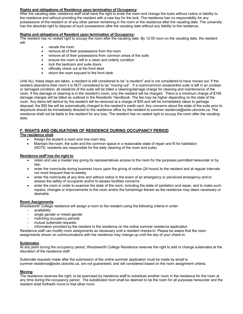## **Rights and obligations of Residence upon termination of Occupancy:**

After the vacating date, residence staff shall have the right to enter the room and change the locks without notice or liability to the residence and without providing the resident with a new key for the lock. The residence has no responsibility for any possessions of the resident or of any other person remaining in the room or the residence after the vacating date. The university has the absolute right to dispose of such possessions after the vacating date without any liability to the residence.

## **Rights and obligations of Resident upon termination of Occupancy:**

The resident has no vested right to occupy the room after the vacating date. By 12:00 noon on the vacating date, the resident will:

- vacate the room
- remove all of their possessions from the room
- remove all of their possessions from common areas of the suite
- ensure the room is left in a clean and orderly condition
- lock the bedroom and suite doors
- officially check out at the front desk
- return the room keycard to the front desk

Until ALL these steps are taken, a resident is still considered to be "a resident" and is not considered to have moved out. If the resident abandons their room it is NOT considered to be "moving out". If a room/common areas/entire suite is left in an unclean or damaged condition, all residents of the suite will be billed a cleaning/damage charge for cleaning and maintenance of the room. If the damage or cleaning is in the resident's room, only the resident will be charged. There is a minimum charge of \$195 damage charges will be billed as outlined in the Residents' Handbook. The fee may be higher depending on the state of the room. Any items left behind by the resident will be removed at a charge of \$50 and will be immediately taken to garbage disposal; the \$50 fee will be automatically charged to the resident's credit card. Any concerns about the state of the suite prior to departure should be immediately directed to the residence office by the resident to summer.residence@wdw.utoronto.ca. The residence shall not be liable to the resident for any loss. The resident has no vested right to occupy the room after the vacating date.

# **F. RIGHTS AND OBLIGATIONS OF RESIDENCE DURING OCCUPANCY PERIOD**

## **The residence shall**:

- Assign the student a room and one room key;
- Maintain the room, the suite and the common space in a reasonable state of repair and fit for habitation (NOTE: residents are responsible for the daily cleaning of the room and suite).

## **Residence staff has the right to**:

- retain and use a master key giving its representatives access to the room for the purposes permitted hereunder or by law;
- enter the room/suite during business hours upon the giving of notice (24 hours) to the resident and at regular intervals not more frequent than bi-weekly
- enter the room/suite at any time and without notice in the event of an emergency or perceived emergency and to assess the safety of occupants and/or to assess facilities concerns
- enter the room in order to examine the state of the room, including the state of sanitation and repair, and to make such repairs, changes or improvements to the room and/or the furnishings therein as the residence may deem necessary or desirable

#### **Room Assignments**

Woodsworth College residence will assign a room to the resident using the following criteria in order:

- availability
- single gender or mixed gender
- matching occupancy periods
- mutual suitemate requests
- information provided by the resident to the residence on the online summer residence application

Residence staff can modify room assignments as necessary until a resident checks-in. Please be aware that the room assignments shown on communications with the residence may change up until the day of your check-in.

#### **Suitemates**

At any point during the occupancy period, Woodsworth College Residence reserves the right to add or change suitemates at the discretion of the residence staff.

Suitemate requests made after the submission of the online summer application must be made by email to summer.residence@wdw.utoronto.ca, are not guaranteed, and will considered based on the room assignment criteria.

#### **Moving**

The residence reserves the right, to be exercised by residence staff to substitute another room in the residence for the room at any time during the occupancy period. The substituted room shall be deemed to be the room for all purposes hereunder and the resident shall forthwith move to that other room.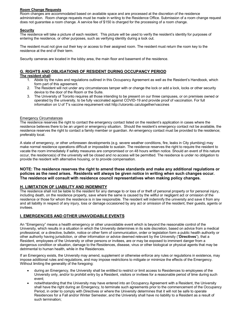#### **Room Change Requests**

Room changes are accommodated based on available space and are processed at the discretion of the residence administration. Room change requests must be made in writing to the Residence Office. Submission of a room change request does not guarantee a room change. A service fee of \$150 is charged for the processing of a room change.

# **Security**

The residence will take a picture of each resident. This picture will be used to verify the resident's identity for purposes of entering the residence, or other purposes, such as verifying identity during a lock out.

The resident must not give out their key or access to their assigned room. The resident must return the room key to the residence at the end of their term.

Security cameras are located in the lobby area, the main floor and basement of the residence.

# **G. RIGHTS AND OBLIGATIONS OF RESIDENT DURING OCCUPANCY PERIOD**

#### **The resident shall**:

- 1. Abide by the rules and regulations outlined in this Occupancy Agreement as well as the Resident's Handbook, which form part of this agreement.
- 2. The Resident will not under any circumstances tamper with or change the lock or add a lock, locks or other security device to the door of the Room or the Suite.
- 3. The University of Toronto requires all those intending to be present on our three campuses, or on premises owned or operated by the university, to be fully vaccinated against COVID-19 and provide proof of vaccination. For full information on U of T's vaccine requirement visit http://utoronto.ca/utogether/vaccines

## Emergency Circumstances

The residence reserves the right to contact the emergency contact listed on the resident's application in cases where the residence believes there to be an urgent or emergency situation. Should the resident's emergency contact not be available, the residence reserves the right to contact a family member or guardian. An emergency contact must be provided to the residence; preferably local.

A state of emergency, or other unforeseen developments (e.g. severe weather conditions, fire, leaks in City plumbing) may make normal residence operations difficult or impossible to sustain. The residence reserves the right to require the resident to vacate the room immediately if safety measures are compromised or on 48 hours written notice. Should an event of this nature occur, the residence(s) of the university will be closed and no access will be permitted. The residence is under no obligation to provide the resident with alternative housing, or to provide compensation.

# **NOTE: The residence reserves the right to amend these standards and make any additional regulations or policies as the need arises. Residents will always be given notice in writing when such changes occur. The residence will consult with residence council representatives when making policy changes.**

# **H. LIMITATION OF LIABILITY AND INDEMNITY**

The residence shall not be liable to the resident for any damage to or loss of or theft of personal property or for personal injury, including death, on the residence property, save where the same is caused by the willful or negligent act or omission of the residence or those for whom the residence is in law responsible. The resident will indemnify the university and save it from any and all liability in respect of any injury, loss or damage occasioned by any act or omission of the resident, their guests, agents or invitees.

# **I. EMERGENCIES AND OTHER UNAVOIDABLE EVENTS**

An "Emergency" means a health emergency or other unavoidable event which is beyond the reasonable control of the University, which results in a situation in which the University determines in its sole discretion, based on advice from a medical professional, or a directive, bulletin, notice or other form of communication, order or legislation form a public health authority or other authority having jurisdiction, or other information or advice deemed relevant by the University ("**Directives**"), that a Resident, employees of the University or other persons or invitees, are or may be exposed to imminent danger from a dangerous condition or situation, damage to the Residences, disease, virus or other biological or physical agents that may be detrimental to human health, while in the Residences.

If an Emergency exists, the University may amend, supplement or otherwise enforce any rules or regulations in existence, may impose additional rules and regulations, and may impose restrictions to mitigate or minimize the effects of the Emergency. Without limiting the generality of the foregoing:

- during an Emergency, the University shall be entitled to restrict or limit access to Residences to employees of the University only, and/or to prohibit entry by a Resident, visitors or invitees for a reasonable period of time during such event;
- notwithstanding that the University may have entered into an Occupancy Agreement with a Resident, the University shall have the right during an Emergency, to terminate such agreements prior to the commencement of the Occupancy Period, in order to comply with Directives or where the University determines that it will not be safe to operate Residences for a Fall and/or Winter Semester, and the University shall have no liability to a Resident as a result of such termination;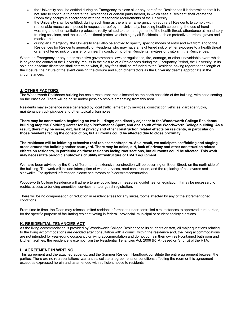- the University shall be entitled during an Emergency to close all or any part of the Residences if it determines that it is not safe to continue to operate the Residences or certain parts thereof, in which case a Resident shall vacate the Room they occupy in accordance with the reasonable requirements of the University;
- the University shall be entitled, during such time as there is an Emergency to require all Residents to comply with reasonable measures imposed in respect thereof by the University, including health screening, the use of hand washing and other sanitation products directly related to the management of the health threat, attendance at mandatory training sessions, and the use of additional protective clothing by all Residents such as protective barriers, gloves and masks; and
- during an Emergency, the University shall also be entitled to specify specific modes of entry and exit from and to the Residences for Residents generally or Residents who may have a heightened risk of either exposure to a health threat or a heightened risk of transfer of unhealthy condition to other Residents, invitees or visitors in the Residences.

Where an Emergency or any other restrictive governmental laws or regulations, fire, damage, or other unavoidable event which is beyond the control of the University, results in the closure of a Residences during the Occupancy Period, the University, in its sole and absolute discretion shall determine what, if , any fees shall be refunded to the Resident, having regard to the length of the closure, the nature of the event causing the closure and such other factors as the University deems appropriate in the circumstances.

# **J. OTHER FACTORS**

The Woodsworth Residence building houses a restaurant that is located on the north east side of the building, with patio seating on the east side. There will be noise and/or possibly smoke emanating from this area.

Residents may experience noise generated by local traffic, emergency services, construction vehicles, garbage trucks, maintenance truck pick-ups and other typical urban noise.

**There may be construction beginning on two buildings; one directly adjacent to the Woodsworth College Residence building atop the Goldring Center for High Performance Sport, and one south of the Woodsworth College building. As a result, there may be noise, dirt, lack of privacy and other construction related effects on residents, in particular on those residents facing the construction, but all rooms could be affected due to close proximity.**

**The residence will be initiating extensive roof replacement/repairs. As a result, we anticipate scaffolding and staging areas around the building and/or courtyard. There may be noise, dirt, lack of privacy and other construction related effects on residents, in particular on those residents facing roof sections, but all rooms could be affected. This work may necessitate periodic shutdowns of utility infrastructure or HVAC equipment.**

We have been advised by the City of Toronto that extensive construction will be occurring on Bloor Street, on the north side of the building. The work will include interruption of water services, road construction, and the replacing of boulevards and sidewalks. For updated information please see toronto.ca/bloorstreetconstruction

Woodsworth College Residence will adhere to any public health measures, guidelines, or legislation. It may be necessary to restrict access to building amenities, services, and/or guest registration.

There will be no compensation or reduction in residence fees for any suites/rooms affected by any of the aforementioned conditions.

From time to time, the Dean may release limited resident information under controlled circumstances to approved third parties, for the specific purpose of facilitating resident voting in federal, provincial, municipal or student society elections.

# **K. RESIDENTIAL TENANCIES ACT**

As the living accommodation is provided by Woodsworth College Residence to its students or staff, all major questions relating to the living accommodations are decided after consultation with a council within the residence and, the living accommodations are not intended for year-round occupancy or living accommodation and do not contain their own self-contained bathroom and kitchen facilities, the residence is exempt from the Residential Tenancies Act, 2006 (RTA) based on S. 5 (g) of the RTA.

# **L. AGREEMENT IN WRITING**

This agreement and the attached appendix and the Summer Resident Handbook constitute the entire agreement between the parties. There are no representations, warranties, collateral agreements or conditions affecting the room or this agreement except as expressed herein and as amended with sufficient notice to residents.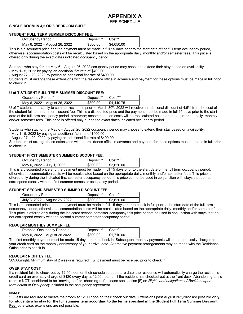# **APPENDIX A**

# FEE SCHEDULE

# **SINGLE ROOM IN 4,5 OR 6 BEDROOM SUITE**

#### **STUDENT FULL TERM SUMMER DISCOUNT FEE:**

| Occupancy Period *            | Deposit ** Cost*** |                       |
|-------------------------------|--------------------|-----------------------|
| May 6, 2022 – August 26, 2022 | \$800.00           | $\frac{$4,650.00}{ }$ |

This is a discounted price and the payment must be made in full 15 days prior to the start date of the full term occupancy period, otherwise; accommodation costs will be recalculated based on the appropriate daily, monthly and/or semester fees. This price is offered only during the exact dates indicated occupancy period.

Students who stay for the May 6 – August 26, 2022 occupancy period may choose to extend their stay based on availability:

- May 1– 5, 2022 by paying an additional flat rate of \$400.00

- August 27 – 29, 2022 by paying an additional flat rate of \$400.00

Students must arrange these extensions with the residence office in advance and payment for these options must be made in full prior to check in.

## **U of T STUDENT FULL TERM SUMMER DISCOUNT FEE:**

| Occupancy Period *            | Deposit ** Cost*** |            |
|-------------------------------|--------------------|------------|
| May 6, 2022 - August 26, 2022 | \$800.00           | \$4,440.75 |

U of T students that apply to summer residence prior to March 30<sup>th</sup>, 2022 will receive an additional discount of 4.5% from the cost of the student full term summer discount fee. This is a discounted price and the payment must be made in full 15 days prior to the start date of the full term occupancy period, otherwise; accommodation costs will be recalculated based on the appropriate daily, monthly and/or semester fees. This price is offered only during the exact dates indicated occupancy period.

Students who stay for the May 6 – August 26, 2022 occupancy period may choose to extend their stay based on availability:

- May 1– 5, 2022 by paying an additional flat rate of \$400.00

- August 27 – 29, 2022 by paying an additional flat rate of \$400.00

Students must arrange these extensions with the residence office in advance and payment for these options must be made in full prior to check in.

## **STUDENT FIRST SEMESTER SUMMER DISCOUNT FEE:**

| Occupancy Period *         | Deposit **   Cost*** |                          |
|----------------------------|----------------------|--------------------------|
| May 6, 2022 – July 1, 2022 | \$800.00             | $\frac{1}{2}$ \$2.620.00 |

This is a discounted price and the payment must be made in full 15 days prior to the start date of the full term occupancy period, otherwise; accommodation costs will be recalculated based on the appropriate daily, monthly and/or semester fees. This price is offered only during the indicated first semester occupancy period; this price cannot be used in conjunction with stays that do not correspond exactly with the first summer semester occupancy period.

#### **STUDENT SECOND SEMESTER SUMMER DISCOUNT FEE:**

| Occupancy Period *             | Deposit **   Cost*** |                       |
|--------------------------------|----------------------|-----------------------|
| July 3, 2022 – August 26, 2022 | \$800.00             | $\frac{1}{2}$ ,620.00 |

This is a discounted price and the payment must be made in full 15 days prior to check in full prior to the start date of the full term occupancy period, otherwise; accommodation costs will be recalculated based on the appropriate daily, monthly and/or semester fees. This price is offered only during the indicated second semester occupancy this price cannot be used in conjunction with stays that do not correspond exactly with the second summer semester occupancy period.

#### **REGULAR MONTHLY SUMMER FEE:**

| Potential Occupancy Period * | Deposit <sup>**</sup> Cost*** |                          |
|------------------------------|-------------------------------|--------------------------|
| May 6, 2022 – August 26 2022 | \$800.00                      | $\frac{1}{2}$ \$1,710.00 |

The first monthly payment must be made 15 days prior to check in. Subsequent monthly payments will be automatically charged to your credit card on the monthly anniversary of your arrival date. Alternative payment arrangements may be made with the Residence Office prior to check in.

#### **REGULAR NIGHTLY FEE**

\$89.00/night. Minimum stay of 2 weeks is required. Full payment must be received prior to check in.

#### **OVER STAY COST**

If a resident fails to check-out by 12:00 noon on their scheduled departure date, the residence will automatically charge the resident's credit card an over stay charge of \$120 every day at 12:00 noon until the resident has checked-out at the front desk. Abandoning one's room is NOT considered to be "moving out" or "checking-out", please see section [F] on *Rights and obligations of Resident upon termination of Occupancy* included in the occupancy agreement.

#### **Notes:**

\* Guests are required to vacate their room at 12:00 noon on their check out date. Extensions past August 26th,2022 are possible **only for students who stay for the full summer term according to the terms specified in the Student Full Term Summer Discount Fee;** otherwise, extensions are not possible.